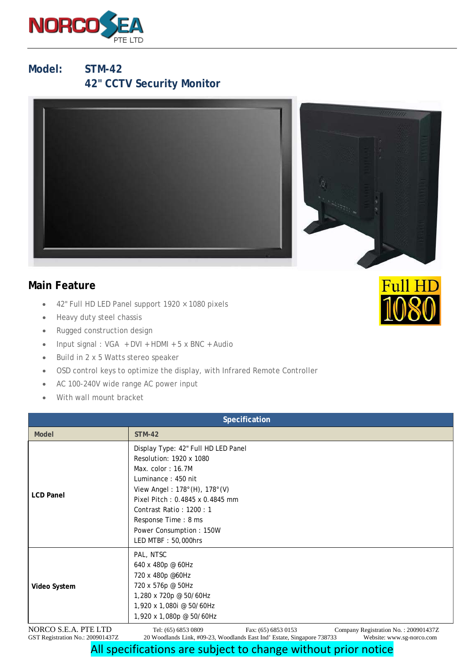

**Model: STM-42 42" CCTV Security Monitor**





- 42" Full HD LED Panel support 1920 × 1080 pixels
- Heavy duty steel chassis
- Rugged construction design
- Input signal : VGA + DVI + HDMI + 5 x BNC + Audio
- Build in 2 x 5 Watts stereo speaker
- OSD control keys to optimize the display, with Infrared Remote Controller
- AC 100-240V wide range AC power input
- With wall mount bracket

| Specification                                            |                                                                                                                                                                                                                                                                                   |
|----------------------------------------------------------|-----------------------------------------------------------------------------------------------------------------------------------------------------------------------------------------------------------------------------------------------------------------------------------|
| Model                                                    | <b>STM-42</b>                                                                                                                                                                                                                                                                     |
| <b>LCD Panel</b>                                         | Display Type: 42" Full HD LED Panel<br>Resolution: 1920 x 1080<br>Max. $color:16.7M$<br>Luminance: 450 nit<br>View Angel: 178°(H), 178°(V)<br>Pixel Pitch: 0.4845 x 0.4845 mm<br>Contrast Ratio: 1200: 1<br>Response Time: 8 ms<br>Power Consumption: 150W<br>LED MTBF: 50,000hrs |
| Video System                                             | PAL, NTSC<br>640 x 480p @ 60Hz<br>720 x 480p @60Hz<br>720 x 576p @ 50Hz<br>1,280 x 720p @ 50/60Hz<br>1,920 x 1,080i @ 50/60Hz<br>1,920 x 1,080p @ 50/60Hz                                                                                                                         |
| NORCO S.E.A. PTE LTD<br>GST Registration No.: 200901437Z | Tel: (65) 6853 0809<br>Fax: (65) 6853 0153<br>Company Registration No.: 200901437Z<br>20 Woodlands Link, #09-23, Woodlands East Ind' Estate, Singapore 738733<br>Website: www.sg-norco.com                                                                                        |



## All specifications are subject to change without prior notice